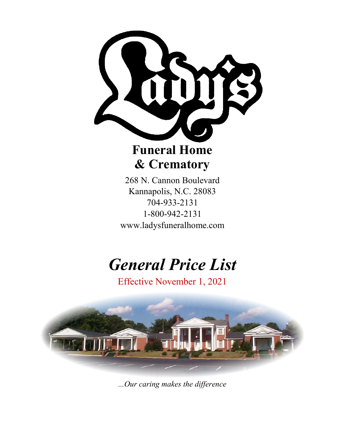

# **Funeral Home & Crematory**

268 N. Cannon Boulevard Kannapolis, N.C. 28083 704-933-2131 1-800-942-2131 www.ladysfuneralhome.com

# *General Price List*

Effective November 1, 2021



*...Our caring makes the difference*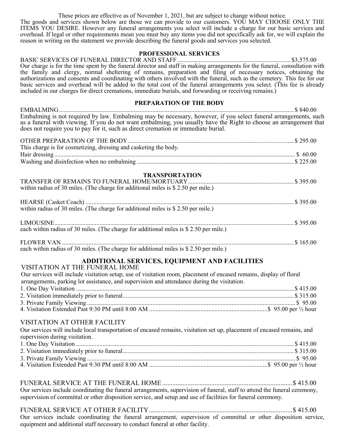These prices are effective as of November 1, 2021, but are subject to change without notice. The goods and services shown below are those we can provide to our customers. YOU MAY CHOOSE ONLY THE ITEMS YOU DESIRE. However any funeral arrangements you select will include a charge for our basic services and overhead. If legal or other requirements mean you must buy any items you did not specifically ask for, we will explain the reason in writing on the statement we provide describing the funeral goods and services you selected.

#### **PROFESSIONAL SERVICES**

BASIC SERVICES OF FUNERAL DIRECTOR AND STAFF......................................................................... \$3,575.00 Our charge is for the time spent by the funeral director and staff in making arrangements for the funeral, consultation with the family and clergy, normal sheltering of remains, preparation and filing of necessary notices, obtaining the authorizations and consents and coordinating with others involved with the funeral, such as the cemetery. This fee for our basic services and overhead will be added to the total cost of the funeral arrangements you select. (This fee is already included in our charges for direct cremations, immediate burials, and forwarding or receiving remains.)

#### **PREPARATION OF THE BODY**

EMBALMING....................................................................................................................................................... \$ 840.00 Embalming is not required by law. Embalming may be necessary, however, if you select funeral arrangements, such as a funeral with viewing. If you do not want embalming, you usually have the Right to choose an arrangement that does not require you to pay for it, such as direct cremation or immediate burial.

| This charge is for cosmetizing, dressing and casketing the body.                       |  |
|----------------------------------------------------------------------------------------|--|
|                                                                                        |  |
|                                                                                        |  |
| <b>TRANSPORTATION</b>                                                                  |  |
|                                                                                        |  |
| within radius of 30 miles. (The charge for additional miles is $$ 2.50$ per mile.)     |  |
|                                                                                        |  |
| within radius of 30 miles. (The charge for additional miles is \$ 2.50 per mile.)      |  |
|                                                                                        |  |
| each within radius of 30 miles. (The charge for additional miles is \$ 2.50 per mile.) |  |
|                                                                                        |  |
| each within radius of 30 miles. (The charge for additional miles is \$ 2.50 per mile.) |  |

## **ADDITIONAL SERVICES, EQUIPMENT AND FACILITIES**

VISITATION AT THE FUNERAL HOME Our services will include visitation setup, use of visitation room, placement of encased remains, display of floral arrangements, parking lot assistance, and supervision and attendance during the visitation. 1. One Day Visitation ............................................................................................................................................ \$ 415.00 2. Visitation immediately prior to funeral.............................................................................................................. \$ 315.00 3. Private Family Viewing ...................................................................................................................................... \$ 95.00 4. Visitation Extended Past 9:30 PM until 8:00 AM ............................................................................\$ 95.00 per ½ hour

## VISITATION AT OTHER FACILITY

Our services will include local transportation of encased remains, visitation set up, placement of encased remains, and supervision during visitation.<br>1. One Day Visitation.

| Our services include coordinating the funeral arrangements, supervision of funeral, staff to attend the funeral ceremony, |  |
|---------------------------------------------------------------------------------------------------------------------------|--|
| supervision of committal or other disposition service, and setup and use of facilities for funeral ceremony.              |  |

FUNERAL SERVICE AT OTHER FACILITY.....................................................................................\$ 415.00 Our services include coordinating the funeral arrangement, supervision of committal or other disposition service, equipment and additional staff necessary to conduct funeral at other facility.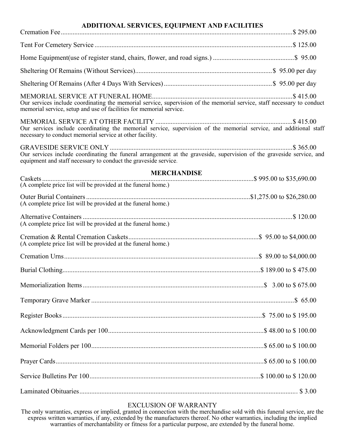## **ADDITIONAL SERVICES, EQUIPMENT AND FACILITIES**

| memorial service, setup and use of facilities for memorial service.                                                                                                                      |  |
|------------------------------------------------------------------------------------------------------------------------------------------------------------------------------------------|--|
| Our services include coordinating the memorial service, supervision of the memorial service, and additional staff<br>necessary to conduct memorial service at other facility.            |  |
| Our services include coordinating the funeral arrangement at the graveside, supervision of the graveside service, and<br>equipment and staff necessary to conduct the graveside service. |  |
| <b>MERCHANDISE</b>                                                                                                                                                                       |  |
| (A complete price list will be provided at the funeral home.)                                                                                                                            |  |
| (A complete price list will be provided at the funeral home.)                                                                                                                            |  |
| (A complete price list will be provided at the funeral home.)                                                                                                                            |  |
| (A complete price list will be provided at the funeral home.)                                                                                                                            |  |
|                                                                                                                                                                                          |  |
|                                                                                                                                                                                          |  |
|                                                                                                                                                                                          |  |
|                                                                                                                                                                                          |  |
|                                                                                                                                                                                          |  |
|                                                                                                                                                                                          |  |
|                                                                                                                                                                                          |  |
|                                                                                                                                                                                          |  |
|                                                                                                                                                                                          |  |
|                                                                                                                                                                                          |  |

## EXCLUSION OF WARRANTY

The only warranties, express or implied, granted in connection with the merchandise sold with this funeral service, are the express written warranties, if any, extended by the manufacturers thereof. No other warranties, including the implied warranties of merchantability or fitness for a particular purpose, are extended by the funeral home.